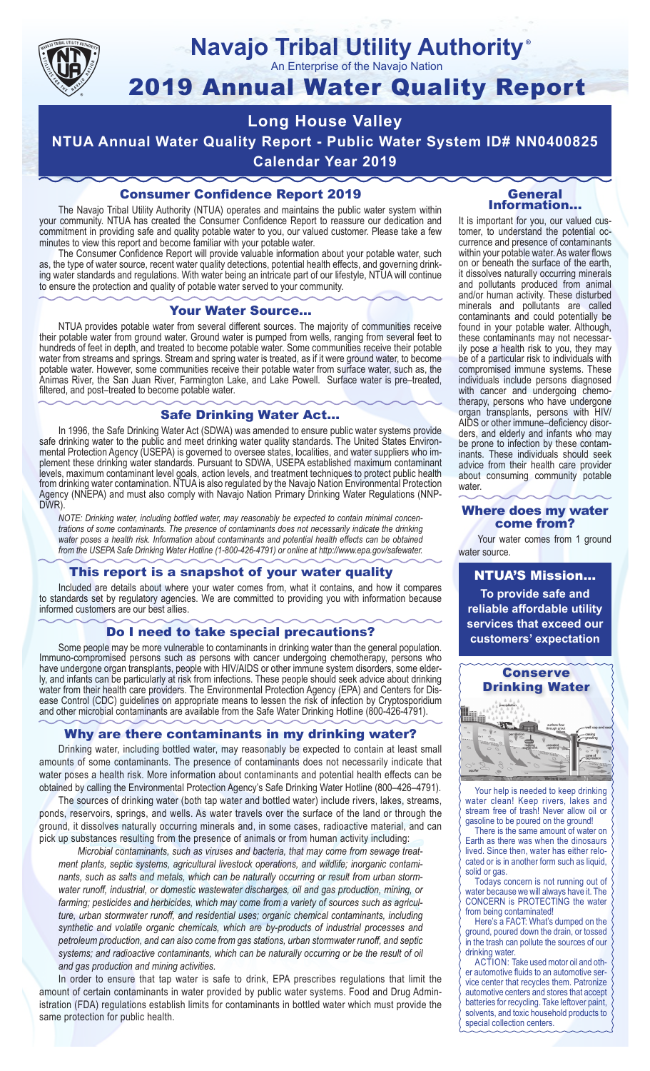

#### **Navajo Tribal Utility Authority** ®

An Enterprise of the Navajo Nation

# 2019 Annual Water Quality Report

# **Long House Valley NTUA Annual Water Quality Report - Public Water System ID# NN0400825 Calendar Year 2019**

### Consumer Confidence Report 2019

The Navajo Tribal Utility Authority (NTUA) operates and maintains the public water system within your community. NTUA has created the Consumer Confidence Report to reassure our dedication and commitment in providing safe and quality potable water to you, our valued customer. Please take a few minutes to view this report and become familiar with your potable water.

The Consumer Confidence Report will provide valuable information about your potable water, such as, the type of water source, recent water quality detections, potential health effects, and governing drinking water standards and regulations. With water being an intricate part of our lifestyle, NTUA will continue to ensure the protection and quality of potable water served to your community.

#### Your Water Source…

NTUA provides potable water from several different sources. The majority of communities receive their potable water from ground water. Ground water is pumped from wells, ranging from several feet to hundreds of feet in depth, and treated to become potable water. Some communities receive their potable water from streams and springs. Stream and spring water is treated, as if it were ground water, to become potable water. However, some communities receive their potable water from surface water, such as, the Animas River, the San Juan River, Farmington Lake, and Lake Powell. Surface water is pre–treated, filtered, and post–treated to become potable water.

#### Safe Drinking Water Act…

In 1996, the Safe Drinking Water Act (SDWA) was amended to ensure public water systems provide safe drinking water to the public and meet drinking water quality standards. The United States Environmental Protection Agency (USEPA) is governed to oversee states, localities, and water suppliers who implement these drinking water standards. Pursuant to SDWA, USEPA established maximum contaminant levels, maximum contaminant level goals, action levels, and treatment techniques to protect public health from drinking water contamination. NTUA is also regulated by the Navajo Nation Environmental Protection Agency (NNEPA) and must also comply with Navajo Nation Primary Drinking Water Regulations (NNP-DWR)

*NOTE: Drinking water, including bottled water, may reasonably be expected to contain minimal concentrations of some contaminants. The presence of contaminants does not necessarily indicate the drinking water poses a health risk. Information about contaminants and potential health effects can be obtained from the USEPA Safe Drinking Water Hotline (1-800-426-4791) or online at http://www.epa.gov/safewater.*

#### This report is a snapshot of your water quality

Included are details about where your water comes from, what it contains, and how it compares to standards set by regulatory agencies. We are committed to providing you with information because informed customers are our best allies.

#### Do I need to take special precautions?

Some people may be more vulnerable to contaminants in drinking water than the general population. Immuno-compromised persons such as persons with cancer undergoing chemotherapy, persons who have undergone organ transplants, people with HIV/AIDS or other immune system disorders, some elderly, and infants can be particularly at risk from infections. These people should seek advice about drinking water from their health care providers. The Environmental Protection Agency (EPA) and Centers for Disease Control (CDC) guidelines on appropriate means to lessen the risk of infection by Cryptosporidium and other microbial contaminants are available from the Safe Water Drinking Hotline (800-426-4791).

#### Why are there contaminants in my drinking water?

Drinking water, including bottled water, may reasonably be expected to contain at least small amounts of some contaminants. The presence of contaminants does not necessarily indicate that water poses a health risk. More information about contaminants and potential health effects can be obtained by calling the Environmental Protection Agency's Safe Drinking Water Hotline (800–426–4791).

The sources of drinking water (both tap water and bottled water) include rivers, lakes, streams, ponds, reservoirs, springs, and wells. As water travels over the surface of the land or through the ground, it dissolves naturally occurring minerals and, in some cases, radioactive material, and can pick up substances resulting from the presence of animals or from human activity including:

*Microbial contaminants, such as viruses and bacteria, that may come from sewage treatment plants, septic systems, agricultural livestock operations, and wildlife; inorganic contaminants, such as salts and metals, which can be naturally occurring or result from urban stormwater runoff, industrial, or domestic wastewater discharges, oil and gas production, mining, or farming; pesticides and herbicides, which may come from a variety of sources such as agriculture, urban stormwater runoff, and residential uses; organic chemical contaminants, including synthetic and volatile organic chemicals, which are by-products of industrial processes and petroleum production, and can also come from gas stations, urban stormwater runoff, and septic systems; and radioactive contaminants, which can be naturally occurring or be the result of oil and gas production and mining activities.*

In order to ensure that tap water is safe to drink, EPA prescribes regulations that limit the amount of certain contaminants in water provided by public water systems. Food and Drug Administration (FDA) regulations establish limits for contaminants in bottled water which must provide the same protection for public health.

#### General Information…

It is important for you, our valued customer, to understand the potential occurrence and presence of contaminants within your potable water. As water flows on or beneath the surface of the earth, it dissolves naturally occurring minerals and pollutants produced from animal and/or human activity. These disturbed minerals and pollutants are called contaminants and could potentially be found in your potable water. Although, these contaminants may not necessarily pose a health risk to you, they may be of a particular risk to individuals with compromised immune systems. These individuals include persons diagnosed with cancer and undergoing chemo-<br>therapy, persons who have undergone organ transplants, persons with HIV/ AIDS or other immune–deficiency disor- ders, and elderly and infants who may be prone to infection by these contam- inants. These individuals should seek advice from their health care provider about consuming community potable water.

#### Where does my water come from?

Your water comes from 1 ground water source.

NTUA'S Mission... **To provide safe and reliable affordable utility services that exceed our customers' expectation**



Your help is needed to keep drinking water clean! Keep rivers, lakes and stream free of trash! Never allow oil or gasoline to be poured on the ground!

There is the same amount of water on Earth as there was when the dinosaurs lived. Since then, water has either relocated or is in another form such as liquid, solid or gas.

Todays concern is not running out of water because we will always have it. The CONCERN is PROTECTING the water from being contaminated!

Here's a FACT: What's dumped on the ground, poured down the drain, or tossed in the trash can pollute the sources of our drinking water.

ACTION: Take used motor oil and other automotive fluids to an automotive service center that recycles them. Patronize automotive centers and stores that accept batteries for recycling. Take leftover paint, solvents, and toxic household products to special collection centers.